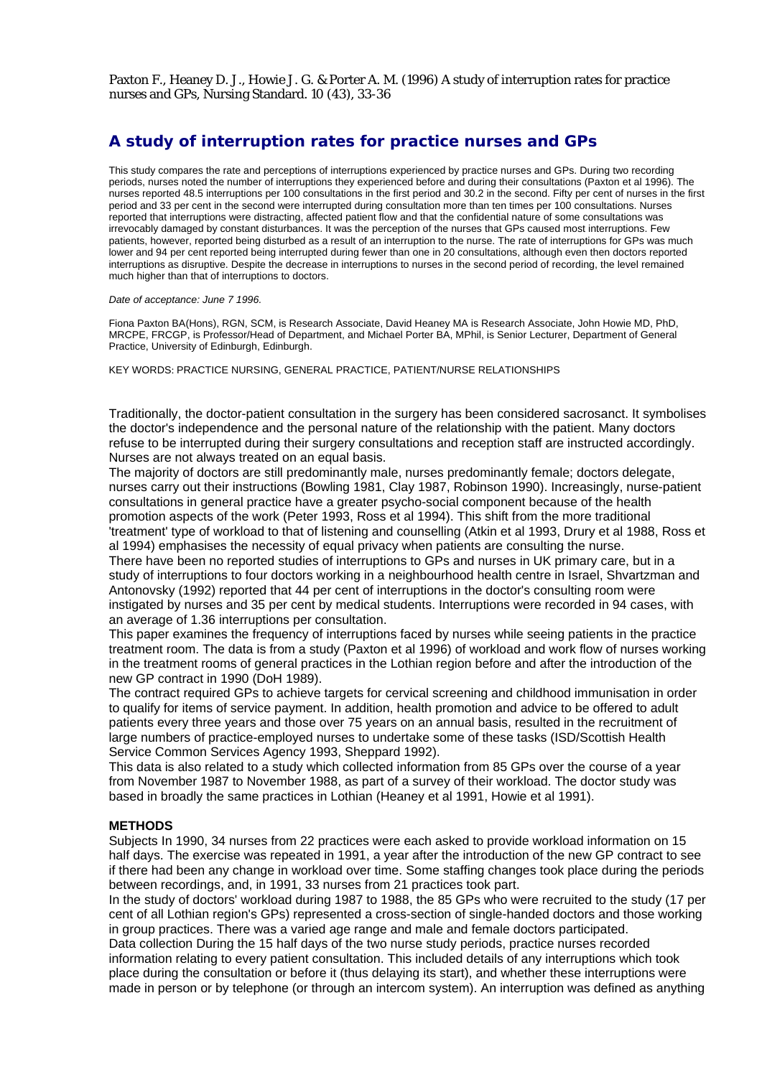Paxton F., Heaney D. J., Howie J. G. & Porter A. M. (1996) A study of interruption rates for practice nurses and GPs, Nursing Standard. 10 (43), 33-36

# **A study of interruption rates for practice nurses and GPs**

This study compares the rate and perceptions of interruptions experienced by practice nurses and GPs. During two recording periods, nurses noted the number of interruptions they experienced before and during their consultations (Paxton et al 1996). The nurses reported 48.5 interruptions per 100 consultations in the first period and 30.2 in the second. Fifty per cent of nurses in the first period and 33 per cent in the second were interrupted during consultation more than ten times per 100 consultations. Nurses reported that interruptions were distracting, affected patient flow and that the confidential nature of some consultations was irrevocably damaged by constant disturbances. It was the perception of the nurses that GPs caused most interruptions. Few patients, however, reported being disturbed as a result of an interruption to the nurse. The rate of interruptions for GPs was much lower and 94 per cent reported being interrupted during fewer than one in 20 consultations, although even then doctors reported interruptions as disruptive. Despite the decrease in interruptions to nurses in the second period of recording, the level remained much higher than that of interruptions to doctors.

#### *Date of acceptance: June 7 1996.*

Fiona Paxton BA(Hons), RGN, SCM, is Research Associate, David Heaney MA is Research Associate, John Howie MD, PhD, MRCPE, FRCGP, is Professor/Head of Department, and Michael Porter BA, MPhil, is Senior Lecturer, Department of General Practice, University of Edinburgh, Edinburgh.

KEY WORDS: PRACTICE NURSING, GENERAL PRACTICE, PATIENT/NURSE RELATIONSHIPS

Traditionally, the doctor-patient consultation in the surgery has been considered sacrosanct. It symbolises the doctor's independence and the personal nature of the relationship with the patient. Many doctors refuse to be interrupted during their surgery consultations and reception staff are instructed accordingly. Nurses are not always treated on an equal basis.

The majority of doctors are still predominantly male, nurses predominantly female; doctors delegate, nurses carry out their instructions (Bowling 1981, Clay 1987, Robinson 1990). Increasingly, nurse-patient consultations in general practice have a greater psycho-social component because of the health promotion aspects of the work (Peter 1993, Ross et al 1994). This shift from the more traditional 'treatment' type of workload to that of listening and counselling (Atkin et al 1993, Drury et al 1988, Ross et al 1994) emphasises the necessity of equal privacy when patients are consulting the nurse.

There have been no reported studies of interruptions to GPs and nurses in UK primary care, but in a study of interruptions to four doctors working in a neighbourhood health centre in Israel, Shvartzman and Antonovsky (1992) reported that 44 per cent of interruptions in the doctor's consulting room were instigated by nurses and 35 per cent by medical students. Interruptions were recorded in 94 cases, with an average of 1.36 interruptions per consultation.

This paper examines the frequency of interruptions faced by nurses while seeing patients in the practice treatment room. The data is from a study (Paxton et al 1996) of workload and work flow of nurses working in the treatment rooms of general practices in the Lothian region before and after the introduction of the new GP contract in 1990 (DoH 1989).

The contract required GPs to achieve targets for cervical screening and childhood immunisation in order to qualify for items of service payment. In addition, health promotion and advice to be offered to adult patients every three years and those over 75 years on an annual basis, resulted in the recruitment of large numbers of practice-employed nurses to undertake some of these tasks (ISD/Scottish Health Service Common Services Agency 1993, Sheppard 1992).

This data is also related to a study which collected information from 85 GPs over the course of a year from November 1987 to November 1988, as part of a survey of their workload. The doctor study was based in broadly the same practices in Lothian (Heaney et al 1991, Howie et al 1991).

# **METHODS**

Subjects In 1990, 34 nurses from 22 practices were each asked to provide workload information on 15 half days. The exercise was repeated in 1991, a year after the introduction of the new GP contract to see if there had been any change in workload over time. Some staffing changes took place during the periods between recordings, and, in 1991, 33 nurses from 21 practices took part.

In the study of doctors' workload during 1987 to 1988, the 85 GPs who were recruited to the study (17 per cent of all Lothian region's GPs) represented a cross-section of single-handed doctors and those working in group practices. There was a varied age range and male and female doctors participated. Data collection During the 15 half days of the two nurse study periods, practice nurses recorded information relating to every patient consultation. This included details of any interruptions which took place during the consultation or before it (thus delaying its start), and whether these interruptions were made in person or by telephone (or through an intercom system). An interruption was defined as anything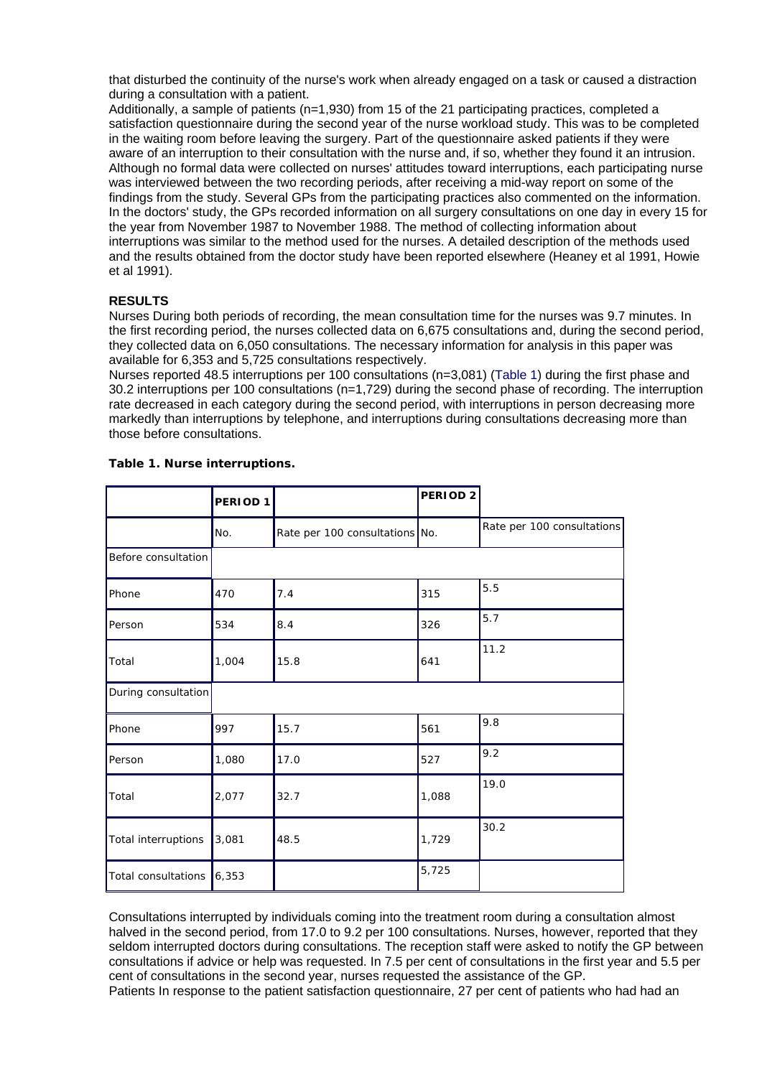that disturbed the continuity of the nurse's work when already engaged on a task or caused a distraction during a consultation with a patient.

Additionally, a sample of patients (n=1,930) from 15 of the 21 participating practices, completed a satisfaction questionnaire during the second year of the nurse workload study. This was to be completed in the waiting room before leaving the surgery. Part of the questionnaire asked patients if they were aware of an interruption to their consultation with the nurse and, if so, whether they found it an intrusion. Although no formal data were collected on nurses' attitudes toward interruptions, each participating nurse was interviewed between the two recording periods, after receiving a mid-way report on some of the findings from the study. Several GPs from the participating practices also commented on the information. In the doctors' study, the GPs recorded information on all surgery consultations on one day in every 15 for the year from November 1987 to November 1988. The method of collecting information about interruptions was similar to the method used for the nurses. A detailed description of the methods used and the results obtained from the doctor study have been reported elsewhere (Heaney et al 1991, Howie et al 1991).

# **RESULTS**

Nurses During both periods of recording, the mean consultation time for the nurses was 9.7 minutes. In the first recording period, the nurses collected data on 6,675 consultations and, during the second period, they collected data on 6,050 consultations. The necessary information for analysis in this paper was available for 6,353 and 5,725 consultations respectively.

Nurses reported 48.5 interruptions per 100 consultations (n=3,081) (Table 1) during the first phase and 30.2 interruptions per 100 consultations (n=1,729) during the second phase of recording. The interruption rate decreased in each category during the second period, with interruptions in person decreasing more markedly than interruptions by telephone, and interruptions during consultations decreasing more than those before consultations.

|                     | PERIOD 1 |                                | PERIOD <sub>2</sub> |                            |
|---------------------|----------|--------------------------------|---------------------|----------------------------|
|                     | No.      | Rate per 100 consultations No. |                     | Rate per 100 consultations |
| Before consultation |          |                                |                     |                            |
| Phone               | 470      | 7.4                            | 315                 | 5.5                        |
| Person              | 534      | 8.4                            | 326                 | 5.7                        |
| Total               | 1,004    | 15.8                           | 641                 | 11.2                       |
| During consultation |          |                                |                     |                            |
| Phone               | 997      | 15.7                           | 561                 | 9.8                        |
| Person              | 1,080    | 17.0                           | 527                 | 9.2                        |
| Total               | 2,077    | 32.7                           | 1,088               | 19.0                       |
| Total interruptions | 3,081    | 48.5                           | 1,729               | 30.2                       |
| Total consultations | 6,353    |                                | 5,725               |                            |

### **Table 1. Nurse interruptions.**

Consultations interrupted by individuals coming into the treatment room during a consultation almost halved in the second period, from 17.0 to 9.2 per 100 consultations. Nurses, however, reported that they seldom interrupted doctors during consultations. The reception staff were asked to notify the GP between consultations if advice or help was requested. In 7.5 per cent of consultations in the first year and 5.5 per cent of consultations in the second year, nurses requested the assistance of the GP.

Patients In response to the patient satisfaction questionnaire, 27 per cent of patients who had had an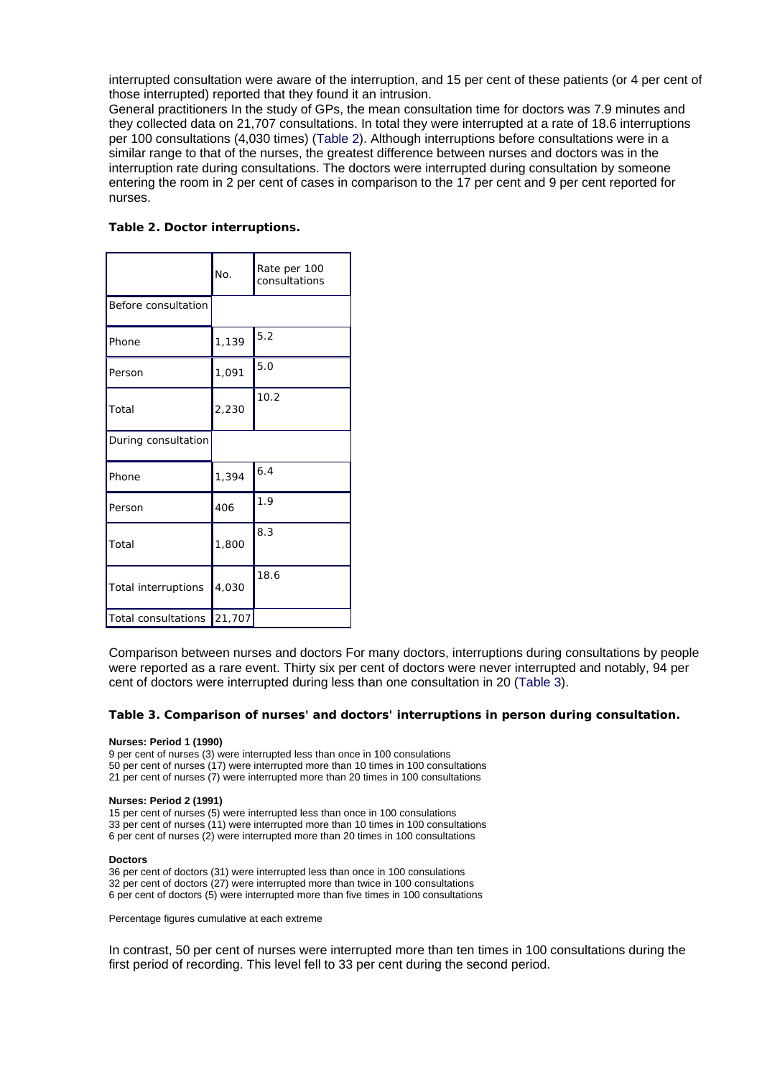interrupted consultation were aware of the interruption, and 15 per cent of these patients (or 4 per cent of those interrupted) reported that they found it an intrusion.

General practitioners In the study of GPs, the mean consultation time for doctors was 7.9 minutes and they collected data on 21,707 consultations. In total they were interrupted at a rate of 18.6 interruptions per 100 consultations (4,030 times) (Table 2). Although interruptions before consultations were in a similar range to that of the nurses, the greatest difference between nurses and doctors was in the interruption rate during consultations. The doctors were interrupted during consultation by someone entering the room in 2 per cent of cases in comparison to the 17 per cent and 9 per cent reported for nurses.

|                     | No.    | Rate per 100<br>consultations |
|---------------------|--------|-------------------------------|
| Before consultation |        |                               |
| Phone               | 1,139  | 5.2                           |
| Person              | 1,091  | 5.0                           |
| Total               | 2,230  | 10.2                          |
| During consultation |        |                               |
| Phone               | 1,394  | 6.4                           |
| Person              | 406    | 1.9                           |
| Total               | 1,800  | 8.3                           |
| Total interruptions | 4,030  | 18.6                          |
| Total consultations | 21,707 |                               |

Comparison between nurses and doctors For many doctors, interruptions during consultations by people were reported as a rare event. Thirty six per cent of doctors were never interrupted and notably, 94 per cent of doctors were interrupted during less than one consultation in 20 (Table 3).

### **Table 3. Comparison of nurses' and doctors' interruptions in person during consultation.**

#### **Nurses: Period 1 (1990)**

9 per cent of nurses (3) were interrupted less than once in 100 consulations 50 per cent of nurses (17) were interrupted more than 10 times in 100 consultations 21 per cent of nurses (7) were interrupted more than 20 times in 100 consultations

#### **Nurses: Period 2 (1991)**

15 per cent of nurses (5) were interrupted less than once in 100 consulations 33 per cent of nurses (11) were interrupted more than 10 times in 100 consultations 6 per cent of nurses (2) were interrupted more than 20 times in 100 consultations

#### **Doctors**

36 per cent of doctors (31) were interrupted less than once in 100 consulations 32 per cent of doctors (27) were interrupted more than twice in 100 consultations 6 per cent of doctors (5) were interrupted more than five times in 100 consultations

Percentage figures cumulative at each extreme

In contrast, 50 per cent of nurses were interrupted more than ten times in 100 consultations during the first period of recording. This level fell to 33 per cent during the second period.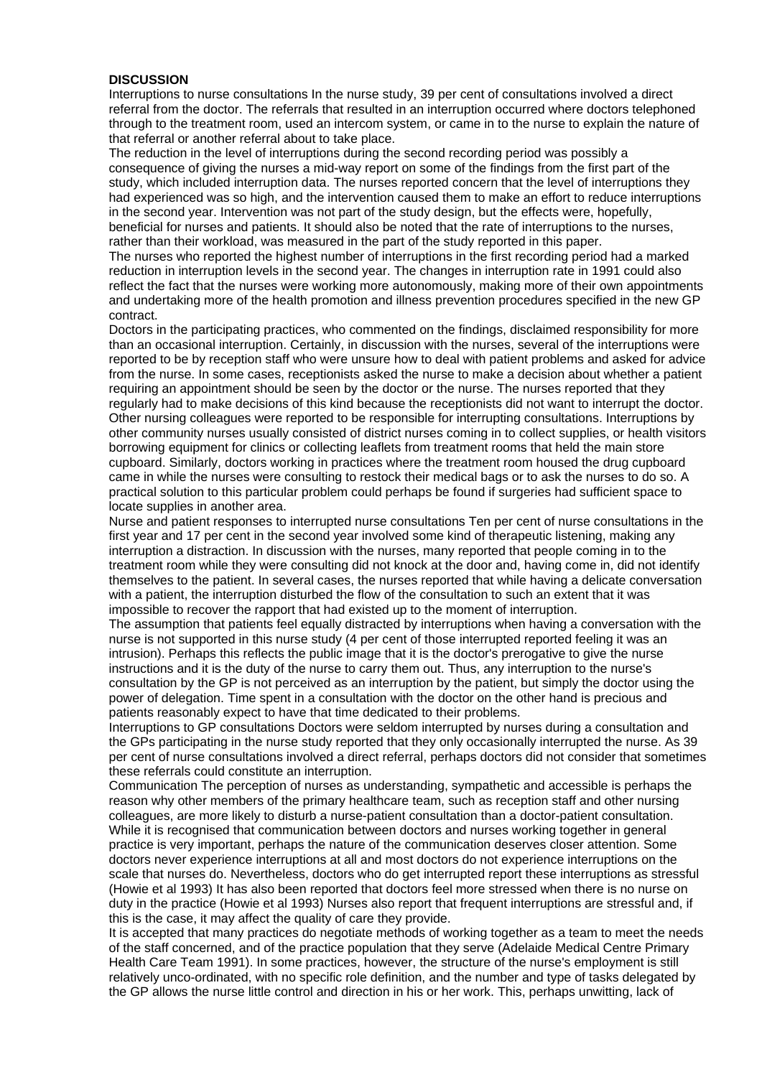# **DISCUSSION**

Interruptions to nurse consultations In the nurse study, 39 per cent of consultations involved a direct referral from the doctor. The referrals that resulted in an interruption occurred where doctors telephoned through to the treatment room, used an intercom system, or came in to the nurse to explain the nature of that referral or another referral about to take place.

The reduction in the level of interruptions during the second recording period was possibly a consequence of giving the nurses a mid-way report on some of the findings from the first part of the study, which included interruption data. The nurses reported concern that the level of interruptions they had experienced was so high, and the intervention caused them to make an effort to reduce interruptions in the second year. Intervention was not part of the study design, but the effects were, hopefully, beneficial for nurses and patients. It should also be noted that the rate of interruptions to the nurses, rather than their workload, was measured in the part of the study reported in this paper.

The nurses who reported the highest number of interruptions in the first recording period had a marked reduction in interruption levels in the second year. The changes in interruption rate in 1991 could also reflect the fact that the nurses were working more autonomously, making more of their own appointments and undertaking more of the health promotion and illness prevention procedures specified in the new GP contract.

Doctors in the participating practices, who commented on the findings, disclaimed responsibility for more than an occasional interruption. Certainly, in discussion with the nurses, several of the interruptions were reported to be by reception staff who were unsure how to deal with patient problems and asked for advice from the nurse. In some cases, receptionists asked the nurse to make a decision about whether a patient requiring an appointment should be seen by the doctor or the nurse. The nurses reported that they regularly had to make decisions of this kind because the receptionists did not want to interrupt the doctor. Other nursing colleagues were reported to be responsible for interrupting consultations. Interruptions by other community nurses usually consisted of district nurses coming in to collect supplies, or health visitors borrowing equipment for clinics or collecting leaflets from treatment rooms that held the main store cupboard. Similarly, doctors working in practices where the treatment room housed the drug cupboard came in while the nurses were consulting to restock their medical bags or to ask the nurses to do so. A practical solution to this particular problem could perhaps be found if surgeries had sufficient space to locate supplies in another area.

Nurse and patient responses to interrupted nurse consultations Ten per cent of nurse consultations in the first year and 17 per cent in the second year involved some kind of therapeutic listening, making any interruption a distraction. In discussion with the nurses, many reported that people coming in to the treatment room while they were consulting did not knock at the door and, having come in, did not identify themselves to the patient. In several cases, the nurses reported that while having a delicate conversation with a patient, the interruption disturbed the flow of the consultation to such an extent that it was impossible to recover the rapport that had existed up to the moment of interruption.

The assumption that patients feel equally distracted by interruptions when having a conversation with the nurse is not supported in this nurse study (4 per cent of those interrupted reported feeling it was an intrusion). Perhaps this reflects the public image that it is the doctor's prerogative to give the nurse instructions and it is the duty of the nurse to carry them out. Thus, any interruption to the nurse's consultation by the GP is not perceived as an interruption by the patient, but simply the doctor using the power of delegation. Time spent in a consultation with the doctor on the other hand is precious and patients reasonably expect to have that time dedicated to their problems.

Interruptions to GP consultations Doctors were seldom interrupted by nurses during a consultation and the GPs participating in the nurse study reported that they only occasionally interrupted the nurse. As 39 per cent of nurse consultations involved a direct referral, perhaps doctors did not consider that sometimes these referrals could constitute an interruption.

Communication The perception of nurses as understanding, sympathetic and accessible is perhaps the reason why other members of the primary healthcare team, such as reception staff and other nursing colleagues, are more likely to disturb a nurse-patient consultation than a doctor-patient consultation. While it is recognised that communication between doctors and nurses working together in general practice is very important, perhaps the nature of the communication deserves closer attention. Some doctors never experience interruptions at all and most doctors do not experience interruptions on the scale that nurses do. Nevertheless, doctors who do get interrupted report these interruptions as stressful (Howie et al 1993) It has also been reported that doctors feel more stressed when there is no nurse on duty in the practice (Howie et al 1993) Nurses also report that frequent interruptions are stressful and, if this is the case, it may affect the quality of care they provide.

It is accepted that many practices do negotiate methods of working together as a team to meet the needs of the staff concerned, and of the practice population that they serve (Adelaide Medical Centre Primary Health Care Team 1991). In some practices, however, the structure of the nurse's employment is still relatively unco-ordinated, with no specific role definition, and the number and type of tasks delegated by the GP allows the nurse little control and direction in his or her work. This, perhaps unwitting, lack of